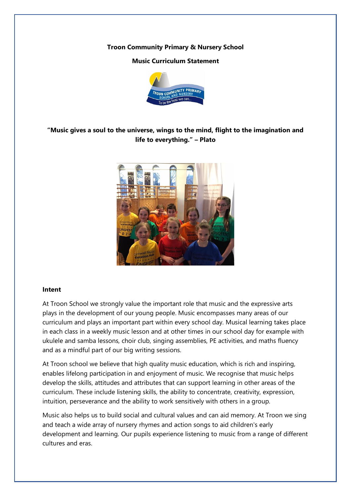#### **Troon Community Primary & Nursery School**

## **Music Curriculum Statement**



# **"Music gives a soul to the universe, wings to the mind, flight to the imagination and life to everything." – Plato**



#### **Intent**

At Troon School we strongly value the important role that music and the expressive arts plays in the development of our young people. Music encompasses many areas of our curriculum and plays an important part within every school day. Musical learning takes place in each class in a weekly music lesson and at other times in our school day for example with ukulele and samba lessons, choir club, singing assemblies, PE activities, and maths fluency and as a mindful part of our big writing sessions.

At Troon school we believe that high quality music education, which is rich and inspiring, enables lifelong participation in and enjoyment of music. We recognise that music helps develop the skills, attitudes and attributes that can support learning in other areas of the curriculum. These include listening skills, the ability to concentrate, creativity, expression, intuition, perseverance and the ability to work sensitively with others in a group.

Music also helps us to build social and cultural values and can aid memory. At Troon we sing and teach a wide array of nursery rhymes and action songs to aid children's early development and learning. Our pupils experience listening to music from a range of different cultures and eras.